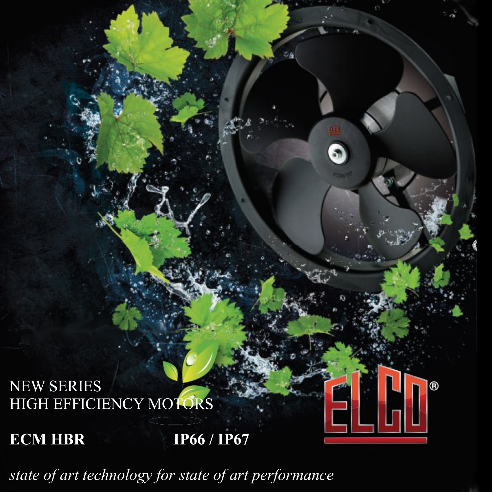# NEW SERIES HIGH EFFICIENCY MOTORS

**ECM HBR IP66 / IP67** 

*state of art technology for state of art performance*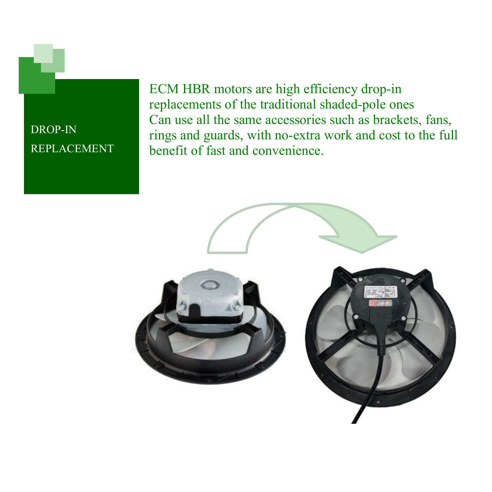DROP-IN REPLACEMENT ECM HBR motors are high efficiency drop-in replacements of the traditional shaded-pole ones Can use all the same accessories such as brackets, fans, rings and guards, with no-extra work and cost to the full benefit of fast and convenience.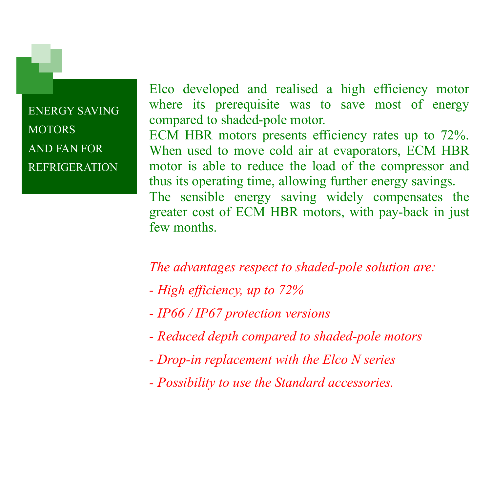ENERGY SAVING **MOTORS** AND FAN FOR REFRIGERATION

Elco developed and realised a high efficiency motor where its prerequisite was to save most of energy compared to shaded-pole motor.

ECM HBR motors presents efficiency rates up to 72%. When used to move cold air at evaporators, ECM HBR motor is able to reduce the load of the compressor and thus its operating time, allowing further energy savings. The sensible energy saving widely compensates the greater cost of ECM HBR motors, with pay-back in just few months.

#### *The advantages respect to shaded-pole solution are:*

- *High efficiency, up to 72%*
- *IP66 / IP67 protection versions*
- *Reduced depth compared to shaded-pole motors*
- *Drop-in replacement with the Elco N series*
- *Possibility to use the Standard accessories.*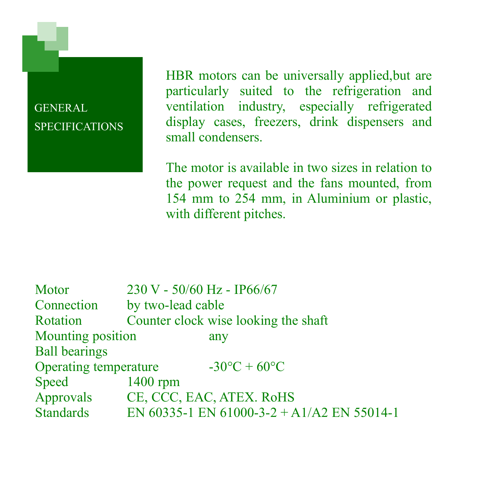GENERAL **SPECIFICATIONS**  HBR motors can be universally applied,but are particularly suited to the refrigeration and ventilation industry, especially refrigerated display cases, freezers, drink dispensers and small condensers.

The motor is available in two sizes in relation to the power request and the fans mounted, from 154 mm to 254 mm, in Aluminium or plastic, with different pitches.

| Motor                 | 230 V - 50/60 Hz - IP66/67           |                                            |  |  |  |  |  |
|-----------------------|--------------------------------------|--------------------------------------------|--|--|--|--|--|
| Connection            | by two-lead cable                    |                                            |  |  |  |  |  |
| Rotation              | Counter clock wise looking the shaft |                                            |  |  |  |  |  |
| Mounting position     |                                      | any                                        |  |  |  |  |  |
| <b>Ball bearings</b>  |                                      |                                            |  |  |  |  |  |
| Operating temperature |                                      | $-30^{\circ}$ C + 60 $^{\circ}$ C          |  |  |  |  |  |
| Speed                 | $1400$ rpm                           |                                            |  |  |  |  |  |
| Approvals             |                                      | CE, CCC, EAC, ATEX. RoHS                   |  |  |  |  |  |
| <b>Standards</b>      |                                      | EN 60335-1 EN 61000-3-2 + A1/A2 EN 55014-1 |  |  |  |  |  |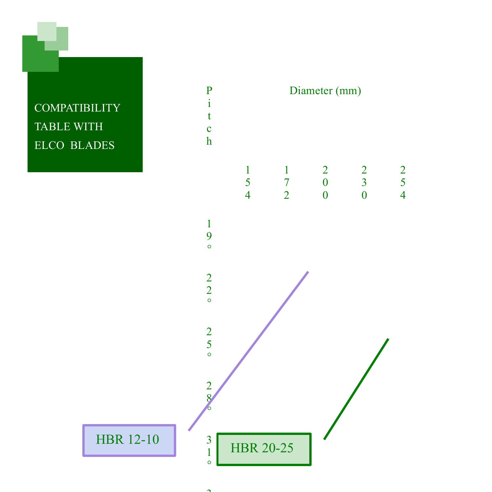**COMPATIBILITY** TABLE WITH ELCO BLADES

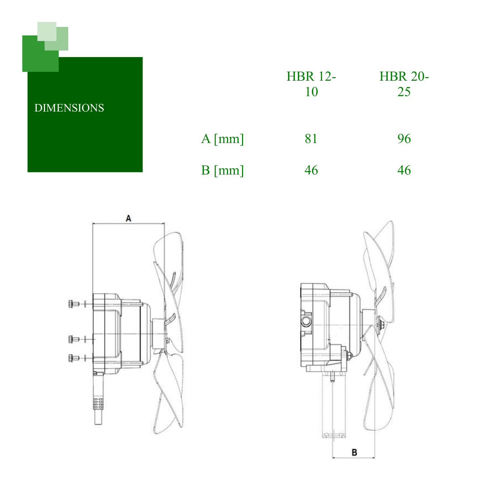DIMENSIONS

|                 | <b>HBR 12-</b><br>10 | <b>HBR 20-</b><br>25 |  |  |
|-----------------|----------------------|----------------------|--|--|
| $A \text{[mm]}$ | 81                   | 96                   |  |  |
| $B \text{[mm]}$ | 46                   | 46                   |  |  |



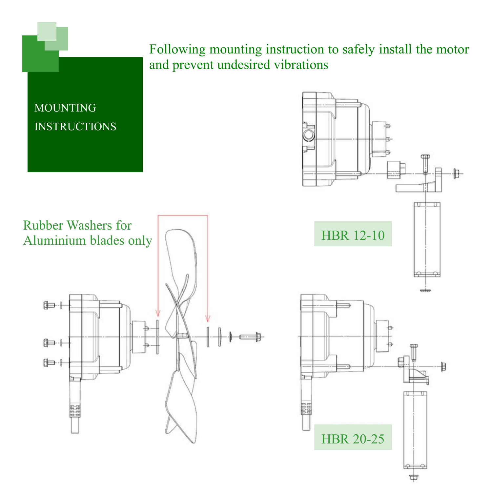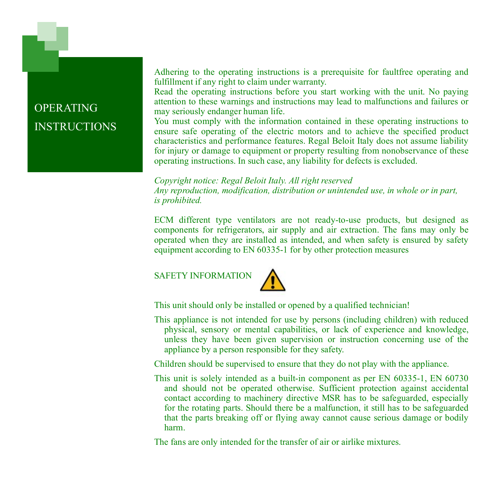Adhering to the operating instructions is a prerequisite for faultfree operating and fulfillment if any right to claim under warranty.

Read the operating instructions before you start working with the unit. No paying attention to these warnings and instructions may lead to malfunctions and failures or may seriously endanger human life.

You must comply with the information contained in these operating instructions to ensure safe operating of the electric motors and to achieve the specified product characteristics and performance features. Regal Beloit Italy does not assume liability for injury or damage to equipment or property resulting from nonobservance of these operating instructions. In such case, any liability for defects is excluded.

*Copyright notice: Regal Beloit Italy. All right reserved Any reproduction, modification, distribution or unintended use, in whole or in part, is prohibited.* 

ECM different type ventilators are not ready-to-use products, but designed as components for refrigerators, air supply and air extraction. The fans may only be operated when they are installed as intended, and when safety is ensured by safety equipment according to EN 60335-1 for by other protection measures

SAFETY INFORMATION



This unit should only be installed or opened by a qualified technician!

This appliance is not intended for use by persons (including children) with reduced physical, sensory or mental capabilities, or lack of experience and knowledge, unless they have been given supervision or instruction concerning use of the appliance by a person responsible for they safety.

Children should be supervised to ensure that they do not play with the appliance.

This unit is solely intended as a built-in component as per EN 60335-1, EN 60730 and should not be operated otherwise. Sufficient protection against accidental contact according to machinery directive MSR has to be safeguarded, especially for the rotating parts. Should there be a malfunction, it still has to be safeguarded that the parts breaking off or flying away cannot cause serious damage or bodily harm.

The fans are only intended for the transfer of air or airlike mixtures.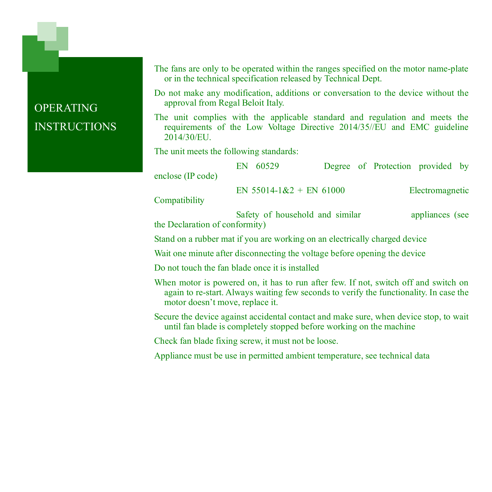The fans are only to be operated within the ranges specified on the motor name-plate or in the technical specification released by Technical Dept.

Do not make any modification, additions or conversation to the device without the approval from Regal Beloit Italy.

The unit complies with the applicable standard and regulation and meets the requirements of the Low Voltage Directive 2014/35//EU and EMC guideline 2014/30/EU.

The unit meets the following standards:

| enclose (IP code) | EN                              | 60529 |  |                 | Degree of Protection provided by |  |  |
|-------------------|---------------------------------|-------|--|-----------------|----------------------------------|--|--|
| Compatibility     | EN 55014-1&2 + EN 61000         |       |  | Electromagnetic |                                  |  |  |
|                   | Safety of household and similar |       |  | appliances (see |                                  |  |  |

the Declaration of conformity)

Stand on a rubber mat if you are working on an electrically charged device

Wait one minute after disconnecting the voltage before opening the device

Do not touch the fan blade once it is installed

When motor is powered on, it has to run after few. If not, switch off and switch on again to re-start. Always waiting few seconds to verify the functionality. In case the motor doesn't move, replace it.

Secure the device against accidental contact and make sure, when device stop, to wait until fan blade is completely stopped before working on the machine

Check fan blade fixing screw, it must not be loose.

Appliance must be use in permitted ambient temperature, see technical data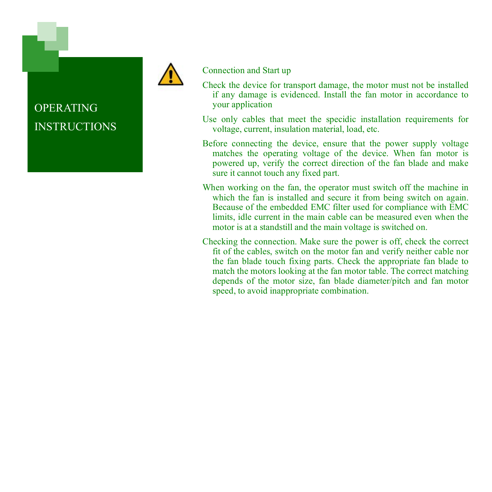



#### Connection and Start up

- Check the device for transport damage, the motor must not be installed if any damage is evidenced. Install the fan motor in accordance to your application
- Use only cables that meet the specidic installation requirements for voltage, current, insulation material, load, etc.
- Before connecting the device, ensure that the power supply voltage matches the operating voltage of the device. When fan motor is powered up, verify the correct direction of the fan blade and make sure it cannot touch any fixed part.
- When working on the fan, the operator must switch off the machine in which the fan is installed and secure it from being switch on again. Because of the embedded EMC filter used for compliance with EMC limits, idle current in the main cable can be measured even when the motor is at a standstill and the main voltage is switched on.
- Checking the connection. Make sure the power is off, check the correct fit of the cables, switch on the motor fan and verify neither cable nor the fan blade touch fixing parts. Check the appropriate fan blade to match the motors looking at the fan motor table. The correct matching depends of the motor size, fan blade diameter/pitch and fan motor speed, to avoid inappropriate combination.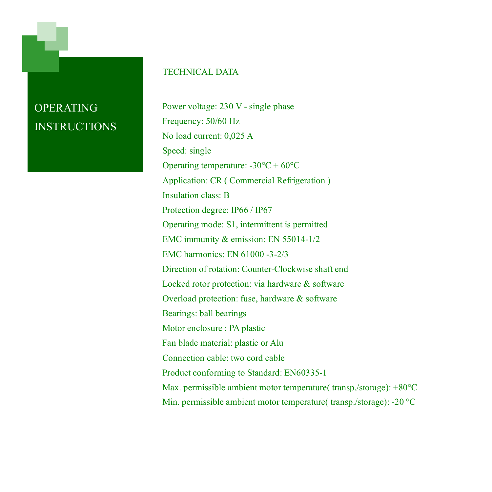#### TECHNICAL DATA

Power voltage: 230 V - single phase Frequency: 50/60 Hz No load current: 0,025 A Speed: single Operating temperature: -30°C + 60°C Application: CR ( Commercial Refrigeration ) Insulation class: B Protection degree: IP66 / IP67 Operating mode: S1, intermittent is permitted EMC immunity & emission: EN 55014-1/2 EMC harmonics: EN 61000 -3-2/3 Direction of rotation: Counter-Clockwise shaft end Locked rotor protection: via hardware & software Overload protection: fuse, hardware & software Bearings: ball bearings Motor enclosure : PA plastic Fan blade material: plastic or Alu Connection cable: two cord cable Product conforming to Standard: EN60335-1 Max. permissible ambient motor temperature( transp./storage): +80°C Min. permissible ambient motor temperature( transp./storage): -20 °C